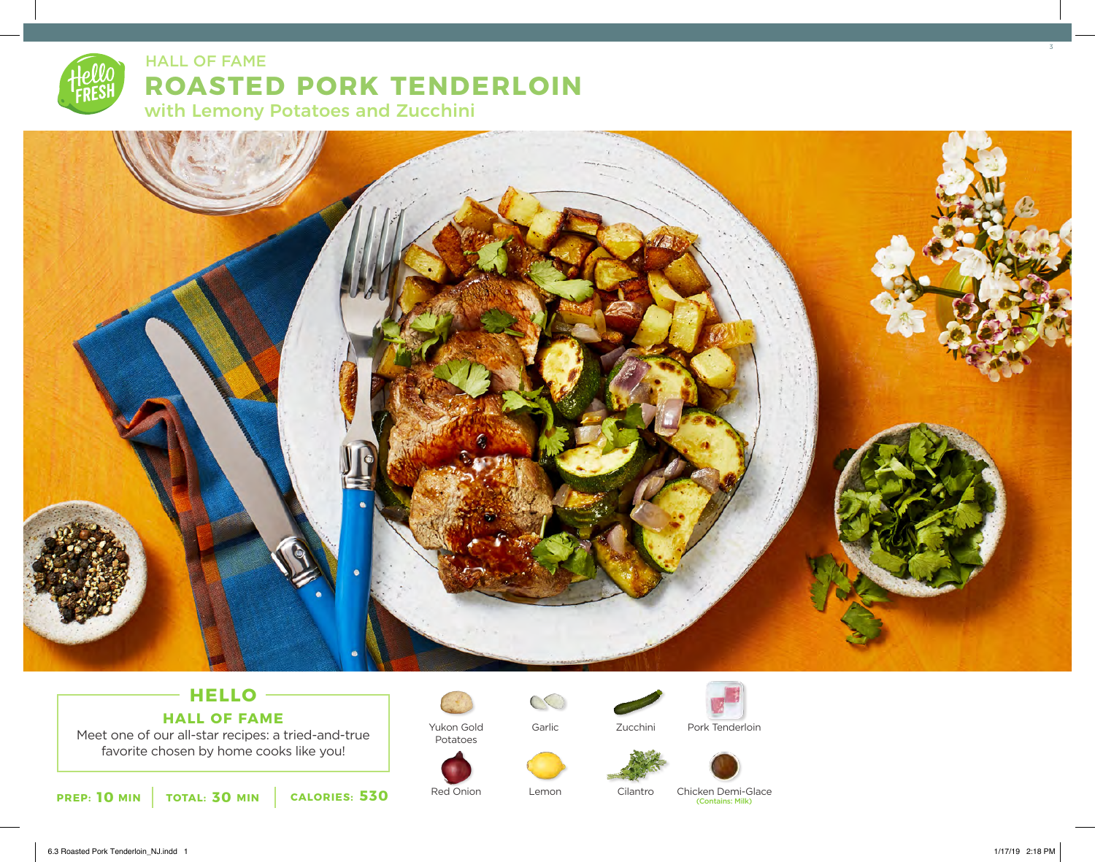# **ROASTED PORK TENDERLOIN** with Lemony Potatoes and Zucchini HALL OF FAME



## **HELLO HALL OF FAME**

Meet one of our all-star recipes: a tried-and-true favorite chosen by home cooks like you!





Potatoes

Red Onion

Garlic

Lemon



Zucchini





Cilantro

Chicken Demi-Glace

(Contains: Milk)

3